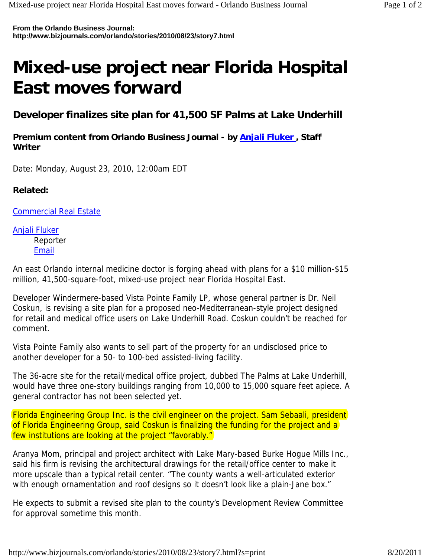**From the Orlando Business Journal: http://www.bizjournals.com/orlando/stories/2010/08/23/story7.html**

## **Mixed-use project near Florida Hospital East moves forward**

**Developer finalizes site plan for 41,500 SF Palms at Lake Underhill**

**Premium content from Orlando Business Journal - by Anjali Fluker , Staff Writer** 

Date: Monday, August 23, 2010, 12:00am EDT

## **Related:**

Commercial Real Estate

Anjali Fluker Reporter **Email** 

An east Orlando internal medicine doctor is forging ahead with plans for a \$10 million-\$15 million, 41,500-square-foot, mixed-use project near Florida Hospital East.

Developer Windermere-based Vista Pointe Family LP, whose general partner is Dr. Neil Coskun, is revising a site plan for a proposed neo-Mediterranean-style project designed for retail and medical office users on Lake Underhill Road. Coskun couldn't be reached for comment.

Vista Pointe Family also wants to sell part of the property for an undisclosed price to another developer for a 50- to 100-bed assisted-living facility.

The 36-acre site for the retail/medical office project, dubbed The Palms at Lake Underhill, would have three one-story buildings ranging from 10,000 to 15,000 square feet apiece. A general contractor has not been selected yet.

Florida Engineering Group Inc. is the civil engineer on the project. Sam Sebaali, president of Florida Engineering Group, said Coskun is finalizing the funding for the project and a few institutions are looking at the project "favorably."

Aranya Mom, principal and project architect with Lake Mary-based Burke Hogue Mills Inc., said his firm is revising the architectural drawings for the retail/office center to make it more upscale than a typical retail center. "The county wants a well-articulated exterior with enough ornamentation and roof designs so it doesn't look like a plain-Jane box."

He expects to submit a revised site plan to the county's Development Review Committee for approval sometime this month.